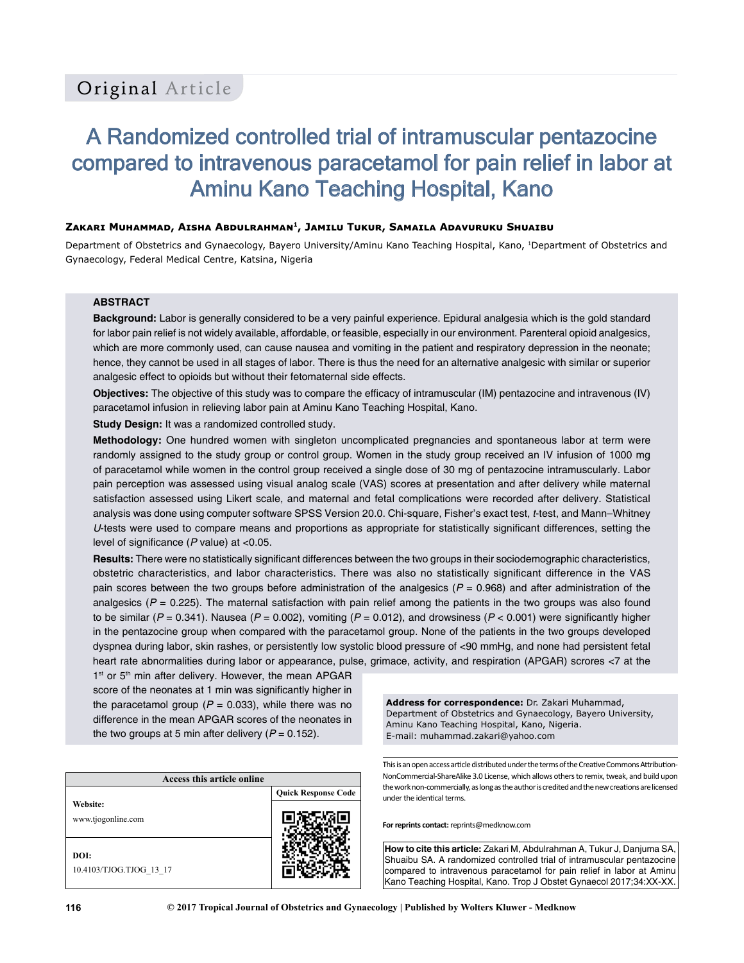# A Randomized controlled trial of intramuscular pentazocine compared to intravenous paracetamol for pain relief in labor at Aminu Kano Teaching Hospital, Kano

#### **Zakari Muhammad, Aisha Abdulrahman<sup>1</sup>, Jamilu Tukur, Samaila Adavuruku Shuaibu**

Department of Obstetrics and Gynaecology, Bayero University/Aminu Kano Teaching Hospital, Kano, 1Department of Obstetrics and Gynaecology, Federal Medical Centre, Katsina, Nigeria

#### **ABSTRACT**

**Background:** Labor is generally considered to be a very painful experience. Epidural analgesia which is the gold standard for labor pain relief is not widely available, affordable, or feasible, especially in our environment. Parenteral opioid analgesics, which are more commonly used, can cause nausea and vomiting in the patient and respiratory depression in the neonate; hence, they cannot be used in all stages of labor. There is thus the need for an alternative analgesic with similar or superior analgesic effect to opioids but without their fetomaternal side effects.

**Objectives:** The objective of this study was to compare the efficacy of intramuscular (IM) pentazocine and intravenous (IV) paracetamol infusion in relieving labor pain at Aminu Kano Teaching Hospital, Kano.

**Study Design:** It was a randomized controlled study.

**Methodology:** One hundred women with singleton uncomplicated pregnancies and spontaneous labor at term were randomly assigned to the study group or control group. Women in the study group received an IV infusion of 1000 mg of paracetamol while women in the control group received a single dose of 30 mg of pentazocine intramuscularly. Labor pain perception was assessed using visual analog scale (VAS) scores at presentation and after delivery while maternal satisfaction assessed using Likert scale, and maternal and fetal complications were recorded after delivery. Statistical analysis was done using computer software SPSS Version 20.0. Chi-square, Fisher's exact test, *t*-test, and Mann–Whitney *U*‑tests were used to compare means and proportions as appropriate for statistically significant differences, setting the level of significance (*P* value) at <0.05.

**Results:** There were no statistically significant differences between the two groups in their sociodemographic characteristics, obstetric characteristics, and labor characteristics. There was also no statistically significant difference in the VAS pain scores between the two groups before administration of the analgesics ( $P = 0.968$ ) and after administration of the analgesics  $(P = 0.225)$ . The maternal satisfaction with pain relief among the patients in the two groups was also found to be similar ( $P = 0.341$ ). Nausea ( $P = 0.002$ ), vomiting ( $P = 0.012$ ), and drowsiness ( $P < 0.001$ ) were significantly higher in the pentazocine group when compared with the paracetamol group. None of the patients in the two groups developed dyspnea during labor, skin rashes, or persistently low systolic blood pressure of <90 mmHg, and none had persistent fetal heart rate abnormalities during labor or appearance, pulse, grimace, activity, and respiration (APGAR) scrores <7 at the

1<sup>st</sup> or 5<sup>th</sup> min after delivery. However, the mean APGAR score of the neonates at 1 min was significantly higher in the paracetamol group  $(P = 0.033)$ , while there was no difference in the mean APGAR scores of the neonates in the two groups at 5 min after delivery  $(P = 0.152)$ .

| Access this article online      |                            |  |  |
|---------------------------------|----------------------------|--|--|
|                                 | <b>Quick Response Code</b> |  |  |
| Website:<br>www.tjogonline.com  |                            |  |  |
| DOI:<br>10.4103/TJOG.TJOG 13 17 |                            |  |  |

**Address for correspondence:** Dr. Zakari Muhammad, Department of Obstetrics and Gynaecology, Bayero University, Aminu Kano Teaching Hospital, Kano, Nigeria. E-mail: muhammad.zakari@yahoo.com

This is an open access article distributed under the terms of the Creative Commons Attribution-NonCommercial-ShareAlike 3.0 License, which allows others to remix, tweak, and build upon the work non-commercially, as long as the author is credited and the new creations are licensed under the identical terms.

**For reprints contact:** reprints@medknow.com

**How to cite this article:** Zakari M, Abdulrahman A, Tukur J, Danjuma SA, Shuaibu SA. A randomized controlled trial of intramuscular pentazocine compared to intravenous paracetamol for pain relief in labor at Aminu Kano Teaching Hospital, Kano. Trop J Obstet Gynaecol 2017;34:XX-XX.

**116 © 2017 Tropical Journal of Obstetrics and Gynaecology | Published by Wolters Kluwer - Medknow**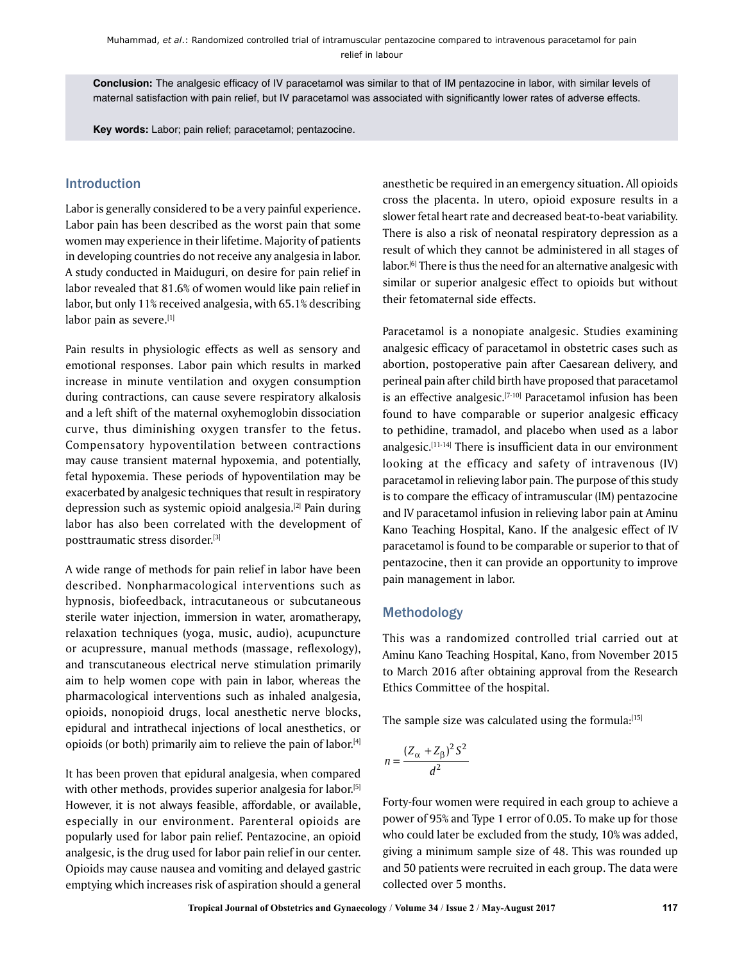**Conclusion:** The analgesic efficacy of IV paracetamol was similar to that of IM pentazocine in labor, with similar levels of maternal satisfaction with pain relief, but IV paracetamol was associated with significantly lower rates of adverse effects.

**Key words:** Labor; pain relief; paracetamol; pentazocine.

# Introduction

Labor is generally considered to be a very painful experience. Labor pain has been described as the worst pain that some women may experience in their lifetime. Majority of patients in developing countries do not receive any analgesia in labor. A study conducted in Maiduguri, on desire for pain relief in labor revealed that 81.6% of women would like pain relief in labor, but only 11% received analgesia, with 65.1% describing labor pain as severe.[1]

Pain results in physiologic effects as well as sensory and emotional responses. Labor pain which results in marked increase in minute ventilation and oxygen consumption during contractions, can cause severe respiratory alkalosis and a left shift of the maternal oxyhemoglobin dissociation curve, thus diminishing oxygen transfer to the fetus. Compensatory hypoventilation between contractions may cause transient maternal hypoxemia, and potentially, fetal hypoxemia. These periods of hypoventilation may be exacerbated by analgesic techniques that result in respiratory depression such as systemic opioid analgesia.<sup>[2]</sup> Pain during labor has also been correlated with the development of posttraumatic stress disorder.[3]

A wide range of methods for pain relief in labor have been described. Nonpharmacological interventions such as hypnosis, biofeedback, intracutaneous or subcutaneous sterile water injection, immersion in water, aromatherapy, relaxation techniques (yoga, music, audio), acupuncture or acupressure, manual methods (massage, reflexology), and transcutaneous electrical nerve stimulation primarily aim to help women cope with pain in labor, whereas the pharmacological interventions such as inhaled analgesia, opioids, nonopioid drugs, local anesthetic nerve blocks, epidural and intrathecal injections of local anesthetics, or opioids (or both) primarily aim to relieve the pain of labor.[4]

It has been proven that epidural analgesia, when compared with other methods, provides superior analgesia for labor.[5] However, it is not always feasible, affordable, or available, especially in our environment. Parenteral opioids are popularly used for labor pain relief. Pentazocine, an opioid analgesic, is the drug used for labor pain relief in our center. Opioids may cause nausea and vomiting and delayed gastric emptying which increases risk of aspiration should a general anesthetic be required in an emergency situation. All opioids cross the placenta. In utero, opioid exposure results in a slower fetal heart rate and decreased beat-to-beat variability. There is also a risk of neonatal respiratory depression as a result of which they cannot be administered in all stages of labor.[6] There is thus the need for an alternative analgesic with similar or superior analgesic effect to opioids but without their fetomaternal side effects.

Paracetamol is a nonopiate analgesic. Studies examining analgesic efficacy of paracetamol in obstetric cases such as abortion, postoperative pain after Caesarean delivery, and perineal pain after child birth have proposed that paracetamol is an effective analgesic.<sup>[7-10]</sup> Paracetamol infusion has been found to have comparable or superior analgesic efficacy to pethidine, tramadol, and placebo when used as a labor analgesic.[11-14] There is insufficient data in our environment looking at the efficacy and safety of intravenous (IV) paracetamol in relieving labor pain. The purpose of this study is to compare the efficacy of intramuscular (IM) pentazocine and IV paracetamol infusion in relieving labor pain at Aminu Kano Teaching Hospital, Kano. If the analgesic effect of IV paracetamol is found to be comparable or superior to that of pentazocine, then it can provide an opportunity to improve pain management in labor.

## Methodology

This was a randomized controlled trial carried out at Aminu Kano Teaching Hospital, Kano, from November 2015 to March 2016 after obtaining approval from the Research Ethics Committee of the hospital.

The sample size was calculated using the formula:[15]

$$
n = \frac{(Z_{\alpha} + Z_{\beta})^2 S^2}{d^2}
$$

Forty-four women were required in each group to achieve a power of 95% and Type 1 error of 0.05. To make up for those who could later be excluded from the study, 10% was added, giving a minimum sample size of 48. This was rounded up and 50 patients were recruited in each group. The data were collected over 5 months.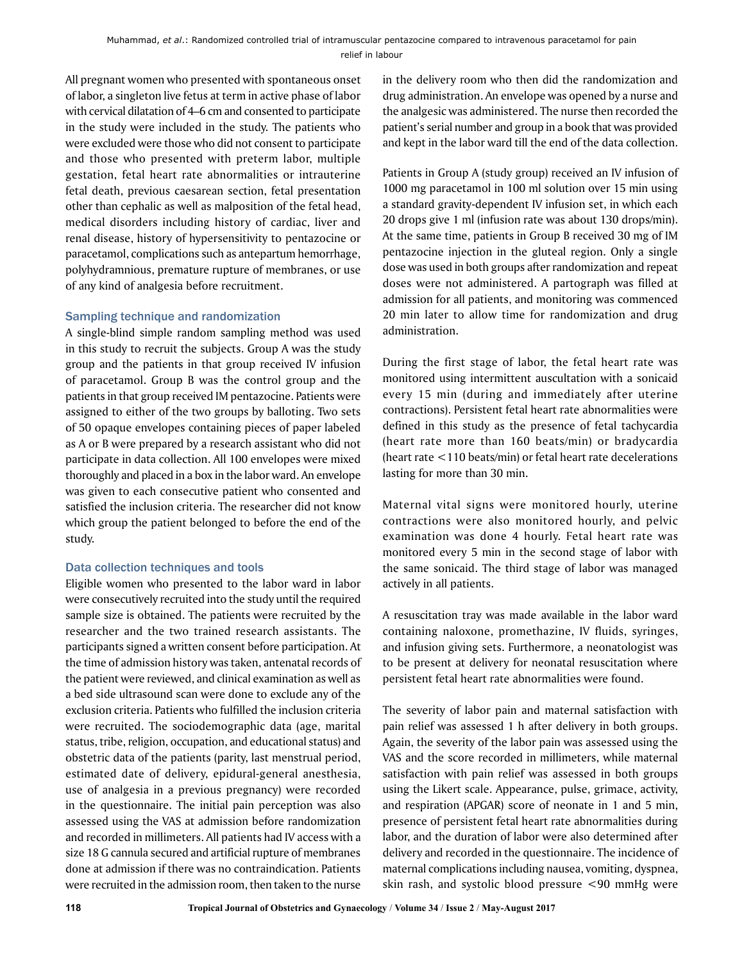All pregnant women who presented with spontaneous onset of labor, a singleton live fetus at term in active phase of labor with cervical dilatation of 4–6 cm and consented to participate in the study were included in the study. The patients who were excluded were those who did not consent to participate and those who presented with preterm labor, multiple gestation, fetal heart rate abnormalities or intrauterine fetal death, previous caesarean section, fetal presentation other than cephalic as well as malposition of the fetal head, medical disorders including history of cardiac, liver and renal disease, history of hypersensitivity to pentazocine or paracetamol, complications such as antepartum hemorrhage, polyhydramnious, premature rupture of membranes, or use of any kind of analgesia before recruitment.

## Sampling technique and randomization

A single-blind simple random sampling method was used in this study to recruit the subjects. Group A was the study group and the patients in that group received IV infusion of paracetamol. Group B was the control group and the patients in that group received IM pentazocine. Patients were assigned to either of the two groups by balloting. Two sets of 50 opaque envelopes containing pieces of paper labeled as A or B were prepared by a research assistant who did not participate in data collection. All 100 envelopes were mixed thoroughly and placed in a box in the labor ward. An envelope was given to each consecutive patient who consented and satisfied the inclusion criteria. The researcher did not know which group the patient belonged to before the end of the study.

## Data collection techniques and tools

Eligible women who presented to the labor ward in labor were consecutively recruited into the study until the required sample size is obtained. The patients were recruited by the researcher and the two trained research assistants. The participants signed a written consent before participation. At the time of admission history was taken, antenatal records of the patient were reviewed, and clinical examination as well as a bed side ultrasound scan were done to exclude any of the exclusion criteria. Patients who fulfilled the inclusion criteria were recruited. The sociodemographic data (age, marital status, tribe, religion, occupation, and educational status) and obstetric data of the patients (parity, last menstrual period, estimated date of delivery, epidural-general anesthesia, use of analgesia in a previous pregnancy) were recorded in the questionnaire. The initial pain perception was also assessed using the VAS at admission before randomization and recorded in millimeters. All patients had IV access with a size 18 G cannula secured and artificial rupture of membranes done at admission if there was no contraindication. Patients were recruited in the admission room, then taken to the nurse

in the delivery room who then did the randomization and drug administration. An envelope was opened by a nurse and the analgesic was administered. The nurse then recorded the patient's serial number and group in a book that was provided and kept in the labor ward till the end of the data collection.

Patients in Group A (study group) received an IV infusion of 1000 mg paracetamol in 100 ml solution over 15 min using a standard gravity-dependent IV infusion set, in which each 20 drops give 1 ml (infusion rate was about 130 drops/min). At the same time, patients in Group B received 30 mg of IM pentazocine injection in the gluteal region. Only a single dose was used in both groups after randomization and repeat doses were not administered. A partograph was filled at admission for all patients, and monitoring was commenced 20 min later to allow time for randomization and drug administration.

During the first stage of labor, the fetal heart rate was monitored using intermittent auscultation with a sonicaid every 15 min (during and immediately after uterine contractions). Persistent fetal heart rate abnormalities were defined in this study as the presence of fetal tachycardia (heart rate more than 160 beats/min) or bradycardia (heart rate <110 beats/min) or fetal heart rate decelerations lasting for more than 30 min.

Maternal vital signs were monitored hourly, uterine contractions were also monitored hourly, and pelvic examination was done 4 hourly. Fetal heart rate was monitored every 5 min in the second stage of labor with the same sonicaid. The third stage of labor was managed actively in all patients.

A resuscitation tray was made available in the labor ward containing naloxone, promethazine, IV fluids, syringes, and infusion giving sets. Furthermore, a neonatologist was to be present at delivery for neonatal resuscitation where persistent fetal heart rate abnormalities were found.

The severity of labor pain and maternal satisfaction with pain relief was assessed 1 h after delivery in both groups. Again, the severity of the labor pain was assessed using the VAS and the score recorded in millimeters, while maternal satisfaction with pain relief was assessed in both groups using the Likert scale. Appearance, pulse, grimace, activity, and respiration (APGAR) score of neonate in 1 and 5 min, presence of persistent fetal heart rate abnormalities during labor, and the duration of labor were also determined after delivery and recorded in the questionnaire. The incidence of maternal complications including nausea, vomiting, dyspnea, skin rash, and systolic blood pressure <90 mmHg were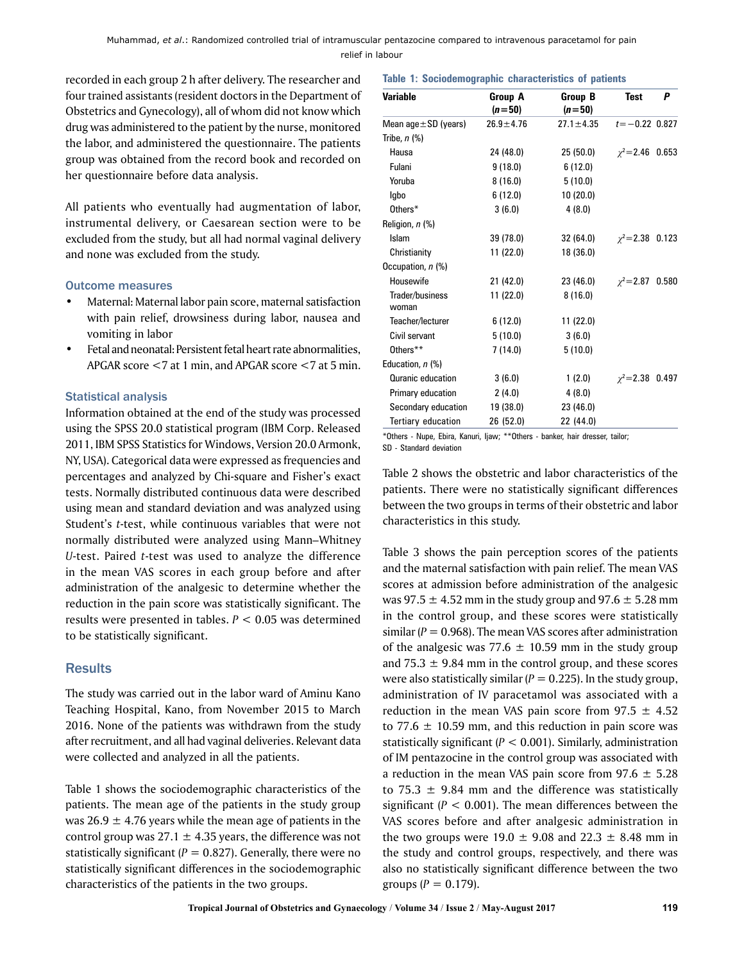recorded in each group 2 h after delivery. The researcher and four trained assistants (resident doctors in the Department of Obstetrics and Gynecology), all of whom did not know which drug was administered to the patient by the nurse, monitored the labor, and administered the questionnaire. The patients group was obtained from the record book and recorded on her questionnaire before data analysis.

All patients who eventually had augmentation of labor, instrumental delivery, or Caesarean section were to be excluded from the study, but all had normal vaginal delivery and none was excluded from the study.

#### Outcome measures

- Maternal: Maternal labor pain score, maternal satisfaction with pain relief, drowsiness during labor, nausea and vomiting in labor
- Fetal and neonatal: Persistent fetal heart rate abnormalities, APGAR score <7 at 1 min, and APGAR score <7 at 5 min.

# Statistical analysis

Information obtained at the end of the study was processed using the SPSS 20.0 statistical program (IBM Corp. Released 2011, IBM SPSS Statistics for Windows, Version 20.0 Armonk, NY, USA). Categorical data were expressed as frequencies and percentages and analyzed by Chi-square and Fisher's exact tests. Normally distributed continuous data were described using mean and standard deviation and was analyzed using Student's *t*-test, while continuous variables that were not normally distributed were analyzed using Mann–Whitney *U*-test. Paired *t*-test was used to analyze the difference in the mean VAS scores in each group before and after administration of the analgesic to determine whether the reduction in the pain score was statistically significant. The results were presented in tables. *P* < 0.05 was determined to be statistically significant.

# **Results**

The study was carried out in the labor ward of Aminu Kano Teaching Hospital, Kano, from November 2015 to March 2016. None of the patients was withdrawn from the study after recruitment, and all had vaginal deliveries. Relevant data were collected and analyzed in all the patients.

Table 1 shows the sociodemographic characteristics of the patients. The mean age of the patients in the study group was  $26.9 \pm 4.76$  years while the mean age of patients in the control group was  $27.1 \pm 4.35$  years, the difference was not statistically significant  $(P = 0.827)$ . Generally, there were no statistically significant differences in the sociodemographic characteristics of the patients in the two groups.

#### **Table 1: Sociodemographic characteristics of patients**

| <b>Variable</b>           | Group A         | Group B         | <b>Test</b>           | P |
|---------------------------|-----------------|-----------------|-----------------------|---|
|                           | $(n = 50)$      | $(n=50)$        |                       |   |
| Mean $age \pm SD$ (years) | $26.9 \pm 4.76$ | $27.1 \pm 4.35$ | $t = -0.22$ 0.827     |   |
| Tribe, $n$ $%$            |                 |                 |                       |   |
| Hausa                     | 24 (48.0)       | 25 (50.0)       | $\chi^2$ = 2.46 0.653 |   |
| Fulani                    | 9(18.0)         | 6(12.0)         |                       |   |
| Yoruba                    | 8(16.0)         | 5(10.0)         |                       |   |
| Igbo                      | 6 (12.0)        | 10(20.0)        |                       |   |
| Others*                   | 3(6.0)          | 4(8.0)          |                       |   |
| Religion, n (%)           |                 |                 |                       |   |
| Islam                     | 39 (78.0)       | 32 (64.0)       | $\chi^2$ = 2.38 0.123 |   |
| Christianity              | 11 (22.0)       | 18 (36.0)       |                       |   |
| Occupation, n (%)         |                 |                 |                       |   |
| Housewife                 | 21 (42.0)       | 23 (46.0)       | $\chi^2$ = 2.87 0.580 |   |
| Trader/business<br>woman  | 11 (22.0)       | 8(16.0)         |                       |   |
| Teacher/lecturer          | 6(12.0)         | 11 (22.0)       |                       |   |
| Civil servant             | 5(10.0)         | 3(6.0)          |                       |   |
| Others**                  | 7(14.0)         | 5(10.0)         |                       |   |
| Education, n (%)          |                 |                 |                       |   |
| Quranic education         | 3(6.0)          | 1(2.0)          | $\chi^2$ = 2.38 0.497 |   |
| Primary education         | 2(4.0)          | 4(8.0)          |                       |   |
| Secondary education       | 19 (38.0)       | 23 (46.0)       |                       |   |
| Tertiary education        | 26 (52.0)       | 22 (44.0)       |                       |   |

<sup>\*</sup>Others - Nupe, Ebira, Kanuri, Ijaw; \*\*Others - banker, hair dresser, tailor; SD - Standard deviation

Table 2 shows the obstetric and labor characteristics of the patients. There were no statistically significant differences between the two groups in terms of their obstetric and labor characteristics in this study.

Table 3 shows the pain perception scores of the patients and the maternal satisfaction with pain relief. The mean VAS scores at admission before administration of the analgesic was 97.5  $\pm$  4.52 mm in the study group and 97.6  $\pm$  5.28 mm in the control group, and these scores were statistically similar  $(P = 0.968)$ . The mean VAS scores after administration of the analgesic was  $77.6 \pm 10.59$  mm in the study group and 75.3  $\pm$  9.84 mm in the control group, and these scores were also statistically similar  $(P = 0.225)$ . In the study group, administration of IV paracetamol was associated with a reduction in the mean VAS pain score from  $97.5 \pm 4.52$ to 77.6  $\pm$  10.59 mm, and this reduction in pain score was statistically significant (*P* < 0.001). Similarly, administration of IM pentazocine in the control group was associated with a reduction in the mean VAS pain score from  $97.6 \pm 5.28$ to 75.3  $\pm$  9.84 mm and the difference was statistically significant  $(P < 0.001)$ . The mean differences between the VAS scores before and after analgesic administration in the two groups were  $19.0 \pm 9.08$  and  $22.3 \pm 8.48$  mm in the study and control groups, respectively, and there was also no statistically significant difference between the two groups  $(P = 0.179)$ .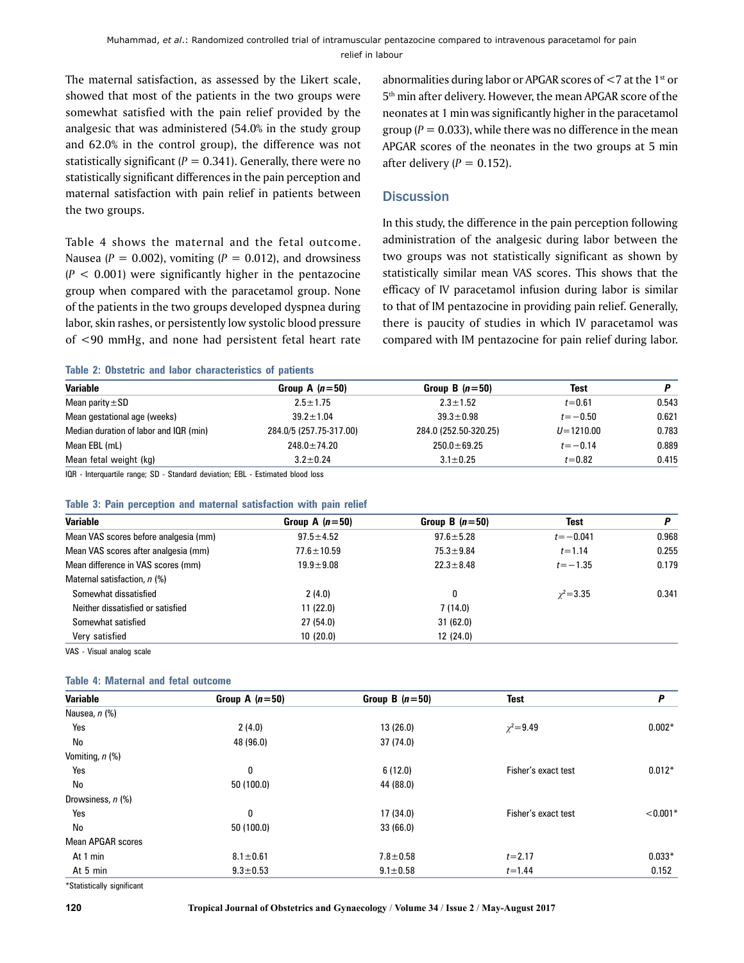The maternal satisfaction, as assessed by the Likert scale, showed that most of the patients in the two groups were somewhat satisfied with the pain relief provided by the analgesic that was administered (54.0% in the study group and 62.0% in the control group), the difference was not statistically significant  $(P = 0.341)$ . Generally, there were no statistically significant differences in the pain perception and maternal satisfaction with pain relief in patients between the two groups.

Table 4 shows the maternal and the fetal outcome. Nausea ( $P = 0.002$ ), vomiting ( $P = 0.012$ ), and drowsiness  $(P < 0.001)$  were significantly higher in the pentazocine group when compared with the paracetamol group. None of the patients in the two groups developed dyspnea during labor, skin rashes, or persistently low systolic blood pressure of <90 mmHg, and none had persistent fetal heart rate

**Table 2: Obstetric and labor characteristics of patients**

abnormalities during labor or APGAR scores of  $<$  7 at the 1st or 5th min after delivery. However, the mean APGAR score of the neonates at 1 min was significantly higher in the paracetamol group  $(P = 0.033)$ , while there was no difference in the mean APGAR scores of the neonates in the two groups at 5 min after delivery  $(P = 0.152)$ .

# **Discussion**

In this study, the difference in the pain perception following administration of the analgesic during labor between the two groups was not statistically significant as shown by statistically similar mean VAS scores. This shows that the efficacy of IV paracetamol infusion during labor is similar to that of IM pentazocine in providing pain relief. Generally, there is paucity of studies in which IV paracetamol was compared with IM pentazocine for pain relief during labor.

| <b>Variable</b>                        | Group A $(n=50)$        | Group B $(n=50)$      | <b>Test</b>   |       |
|----------------------------------------|-------------------------|-----------------------|---------------|-------|
| Mean parity $\pm$ SD                   | $2.5 \pm 1.75$          | $2.3 \pm 1.52$        | $t = 0.61$    | 0.543 |
| Mean gestational age (weeks)           | $39.2 \pm 1.04$         | $39.3 \pm 0.98$       | $t = -0.50$   | 0.621 |
| Median duration of labor and IQR (min) | 284.0/5 (257.75-317.00) | 284.0 (252.50-320.25) | $U = 1210.00$ | 0.783 |
| Mean EBL (mL)                          | $248.0 \pm 74.20$       | $250.0 \pm 69.25$     | $t = -0.14$   | 0.889 |
| Mean fetal weight (kg)                 | $3.2 \pm 0.24$          | $3.1 \pm 0.25$        | $t = 0.82$    | 0.415 |

IQR - Interquartile range; SD - Standard deviation; EBL - Estimated blood loss

#### **Table 3: Pain perception and maternal satisfaction with pain relief**

| <b>Variable</b>                       | Group A $(n=50)$ | Group B $(n=50)$ | Test            | P     |
|---------------------------------------|------------------|------------------|-----------------|-------|
| Mean VAS scores before analgesia (mm) | $97.5 \pm 4.52$  | $97.6 \pm 5.28$  | $t = -0.041$    | 0.968 |
| Mean VAS scores after analgesia (mm)  | $77.6 \pm 10.59$ | $75.3 \pm 9.84$  | $t = 1.14$      | 0.255 |
| Mean difference in VAS scores (mm)    | $19.9 + 9.08$    | $22.3 \pm 8.48$  | $t = -1.35$     | 0.179 |
| Maternal satisfaction, n (%)          |                  |                  |                 |       |
| Somewhat dissatisfied                 | 2(4.0)           |                  | $\chi^2 = 3.35$ | 0.341 |
| Neither dissatisfied or satisfied     | 11(22.0)         | 7(14.0)          |                 |       |
| Somewhat satisfied                    | 27(54.0)         | 31(62.0)         |                 |       |
| Very satisfied                        | 10(20.0)         | 12(24.0)         |                 |       |

VAS - Visual analog scale

#### **Table 4: Maternal and fetal outcome**

| <b>Variable</b>          | Group A $(n=50)$ | Group B $(n=50)$ | <b>Test</b>         | P          |
|--------------------------|------------------|------------------|---------------------|------------|
| Nausea, n (%)            |                  |                  |                     |            |
| Yes                      | 2(4.0)           | 13(26.0)         | $\chi^2 = 9.49$     | $0.002*$   |
| No                       | 48 (96.0)        | 37 (74.0)        |                     |            |
| Vomiting, $n$ (%)        |                  |                  |                     |            |
| Yes                      | 0                | 6(12.0)          | Fisher's exact test | $0.012*$   |
| No                       | 50 (100.0)       | 44 (88.0)        |                     |            |
| Drowsiness, n (%)        |                  |                  |                     |            |
| Yes                      | 0                | 17 (34.0)        | Fisher's exact test | $< 0.001*$ |
| No                       | 50 (100.0)       | 33(66.0)         |                     |            |
| <b>Mean APGAR scores</b> |                  |                  |                     |            |
| At 1 min                 | $8.1 \pm 0.61$   | $7.8 + 0.58$     | $t = 2.17$          | $0.033*$   |
| At 5 min                 | $9.3 + 0.53$     | $9.1 \pm 0.58$   | $t = 1.44$          | 0.152      |
|                          |                  |                  |                     |            |

\*Statistically significant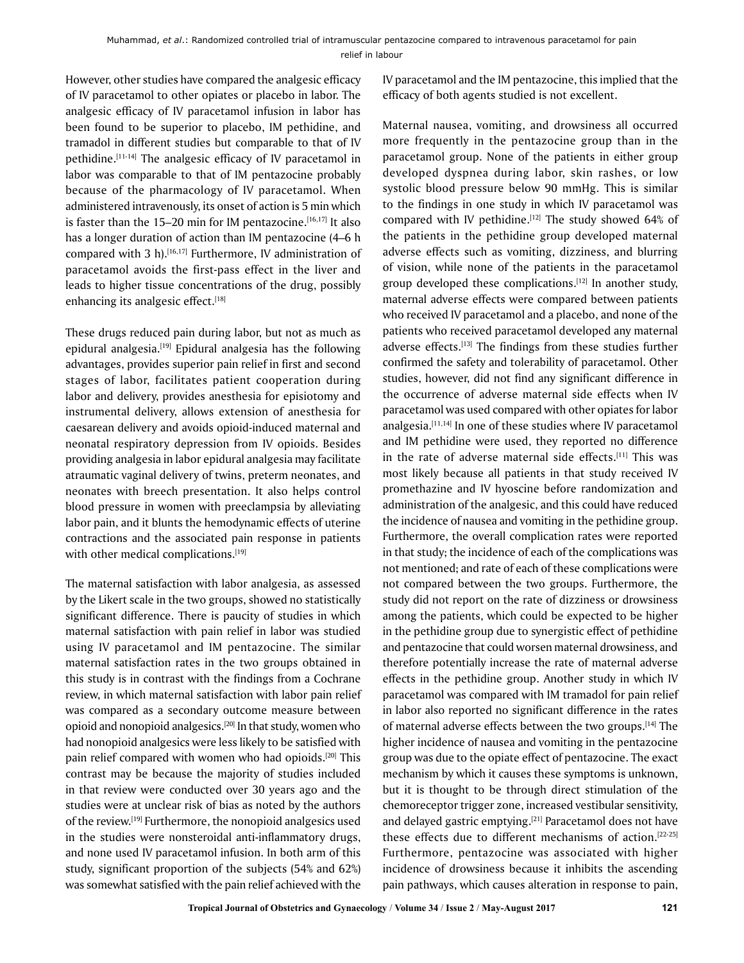However, other studies have compared the analgesic efficacy of IV paracetamol to other opiates or placebo in labor. The analgesic efficacy of IV paracetamol infusion in labor has been found to be superior to placebo, IM pethidine, and tramadol in different studies but comparable to that of IV pethidine.[11-14] The analgesic efficacy of IV paracetamol in labor was comparable to that of IM pentazocine probably because of the pharmacology of IV paracetamol. When administered intravenously, its onset of action is 5 min which is faster than the  $15-20$  min for IM pentazocine.<sup>[16,17]</sup> It also has a longer duration of action than IM pentazocine (4–6 h compared with 3 h).<sup>[16,17]</sup> Furthermore, IV administration of paracetamol avoids the first-pass effect in the liver and leads to higher tissue concentrations of the drug, possibly enhancing its analgesic effect.[18]

These drugs reduced pain during labor, but not as much as epidural analgesia.<sup>[19]</sup> Epidural analgesia has the following advantages, provides superior pain relief in first and second stages of labor, facilitates patient cooperation during labor and delivery, provides anesthesia for episiotomy and instrumental delivery, allows extension of anesthesia for caesarean delivery and avoids opioid-induced maternal and neonatal respiratory depression from IV opioids. Besides providing analgesia in labor epidural analgesia may facilitate atraumatic vaginal delivery of twins, preterm neonates, and neonates with breech presentation. It also helps control blood pressure in women with preeclampsia by alleviating labor pain, and it blunts the hemodynamic effects of uterine contractions and the associated pain response in patients with other medical complications.<sup>[19]</sup>

The maternal satisfaction with labor analgesia, as assessed by the Likert scale in the two groups, showed no statistically significant difference. There is paucity of studies in which maternal satisfaction with pain relief in labor was studied using IV paracetamol and IM pentazocine. The similar maternal satisfaction rates in the two groups obtained in this study is in contrast with the findings from a Cochrane review, in which maternal satisfaction with labor pain relief was compared as a secondary outcome measure between opioid and nonopioid analgesics.<sup>[20]</sup> In that study, women who had nonopioid analgesics were less likely to be satisfied with pain relief compared with women who had opioids.[20] This contrast may be because the majority of studies included in that review were conducted over 30 years ago and the studies were at unclear risk of bias as noted by the authors of the review.[19] Furthermore, the nonopioid analgesics used in the studies were nonsteroidal anti-inflammatory drugs, and none used IV paracetamol infusion. In both arm of this study, significant proportion of the subjects (54% and 62%) was somewhat satisfied with the pain relief achieved with the

IV paracetamol and the IM pentazocine, this implied that the efficacy of both agents studied is not excellent.

Maternal nausea, vomiting, and drowsiness all occurred more frequently in the pentazocine group than in the paracetamol group. None of the patients in either group developed dyspnea during labor, skin rashes, or low systolic blood pressure below 90 mmHg. This is similar to the findings in one study in which IV paracetamol was compared with IV pethidine.<sup>[12]</sup> The study showed 64% of the patients in the pethidine group developed maternal adverse effects such as vomiting, dizziness, and blurring of vision, while none of the patients in the paracetamol group developed these complications.[12] In another study, maternal adverse effects were compared between patients who received IV paracetamol and a placebo, and none of the patients who received paracetamol developed any maternal adverse effects.<sup>[13]</sup> The findings from these studies further confirmed the safety and tolerability of paracetamol. Other studies, however, did not find any significant difference in the occurrence of adverse maternal side effects when IV paracetamol was used compared with other opiates for labor analgesia.[11,14] In one of these studies where IV paracetamol and IM pethidine were used, they reported no difference in the rate of adverse maternal side effects.<sup>[11]</sup> This was most likely because all patients in that study received IV promethazine and IV hyoscine before randomization and administration of the analgesic, and this could have reduced the incidence of nausea and vomiting in the pethidine group. Furthermore, the overall complication rates were reported in that study; the incidence of each of the complications was not mentioned; and rate of each of these complications were not compared between the two groups. Furthermore, the study did not report on the rate of dizziness or drowsiness among the patients, which could be expected to be higher in the pethidine group due to synergistic effect of pethidine and pentazocine that could worsen maternal drowsiness, and therefore potentially increase the rate of maternal adverse effects in the pethidine group. Another study in which IV paracetamol was compared with IM tramadol for pain relief in labor also reported no significant difference in the rates of maternal adverse effects between the two groups.[14] The higher incidence of nausea and vomiting in the pentazocine group was due to the opiate effect of pentazocine. The exact mechanism by which it causes these symptoms is unknown, but it is thought to be through direct stimulation of the chemoreceptor trigger zone, increased vestibular sensitivity, and delayed gastric emptying.<sup>[21]</sup> Paracetamol does not have these effects due to different mechanisms of action.[22-25] Furthermore, pentazocine was associated with higher incidence of drowsiness because it inhibits the ascending pain pathways, which causes alteration in response to pain,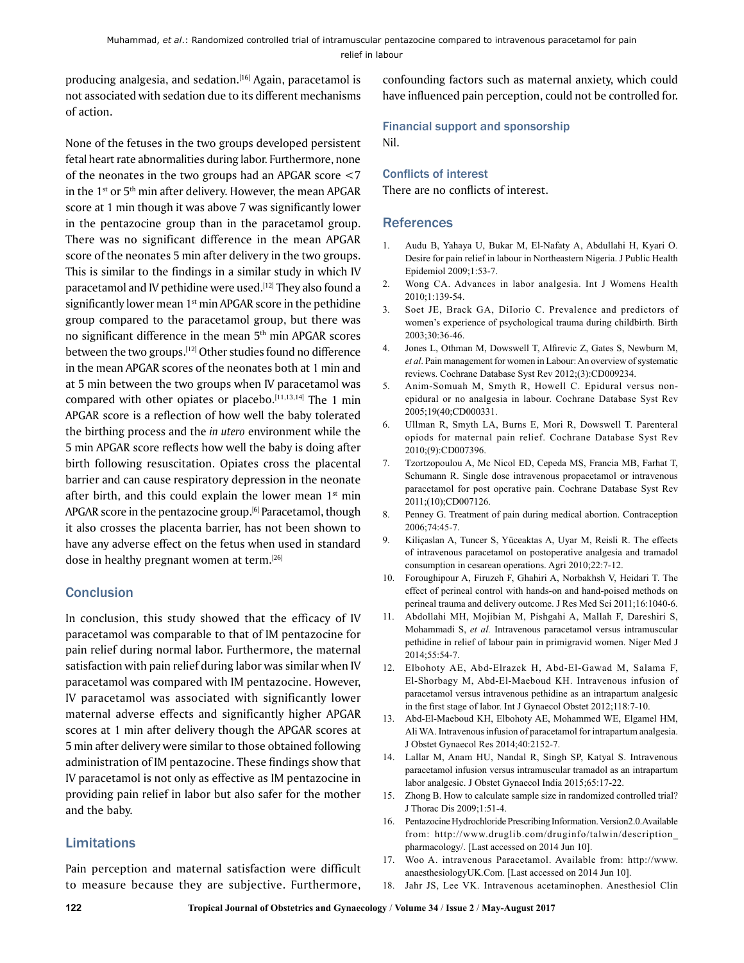producing analgesia, and sedation.<sup>[16]</sup> Again, paracetamol is not associated with sedation due to its different mechanisms of action.

None of the fetuses in the two groups developed persistent fetal heart rate abnormalities during labor. Furthermore, none of the neonates in the two groups had an APGAR score <7 in the  $1<sup>st</sup>$  or  $5<sup>th</sup>$  min after delivery. However, the mean APGAR score at 1 min though it was above 7 was significantly lower in the pentazocine group than in the paracetamol group. There was no significant difference in the mean APGAR score of the neonates 5 min after delivery in the two groups. This is similar to the findings in a similar study in which IV paracetamol and IV pethidine were used.<sup>[12]</sup> They also found a significantly lower mean  $1<sup>st</sup>$  min APGAR score in the pethidine group compared to the paracetamol group, but there was no significant difference in the mean 5<sup>th</sup> min APGAR scores between the two groups.[12] Other studies found no difference in the mean APGAR scores of the neonates both at 1 min and at 5 min between the two groups when IV paracetamol was compared with other opiates or placebo.[11,13,14] The 1 min APGAR score is a reflection of how well the baby tolerated the birthing process and the *in utero* environment while the 5 min APGAR score reflects how well the baby is doing after birth following resuscitation. Opiates cross the placental barrier and can cause respiratory depression in the neonate after birth, and this could explain the lower mean  $1<sup>st</sup>$  min APGAR score in the pentazocine group.<sup>[6]</sup> Paracetamol, though it also crosses the placenta barrier, has not been shown to have any adverse effect on the fetus when used in standard dose in healthy pregnant women at term.<sup>[26]</sup>

# **Conclusion**

In conclusion, this study showed that the efficacy of IV paracetamol was comparable to that of IM pentazocine for pain relief during normal labor. Furthermore, the maternal satisfaction with pain relief during labor was similar when IV paracetamol was compared with IM pentazocine. However, IV paracetamol was associated with significantly lower maternal adverse effects and significantly higher APGAR scores at 1 min after delivery though the APGAR scores at 5 min after delivery were similar to those obtained following administration of IM pentazocine. These findings show that IV paracetamol is not only as effective as IM pentazocine in providing pain relief in labor but also safer for the mother and the baby.

# Limitations

Pain perception and maternal satisfaction were difficult to measure because they are subjective. Furthermore, confounding factors such as maternal anxiety, which could have influenced pain perception, could not be controlled for.

# Financial support and sponsorship

Nil.

# Conflicts of interest

There are no conflicts of interest.

# **References**

- 1. Audu B, Yahaya U, Bukar M, El-Nafaty A, Abdullahi H, Kyari O. Desire for pain relief in labour in Northeastern Nigeria. J Public Health Epidemiol 2009;1:53-7.
- 2. Wong CA. Advances in labor analgesia. Int J Womens Health 2010;1:139-54.
- 3. Soet JE, Brack GA, DiIorio C. Prevalence and predictors of women's experience of psychological trauma during childbirth. Birth 2003;30:36-46.
- 4. Jones L, Othman M, Dowswell T, Alfirevic Z, Gates S, Newburn M, *et al*. Pain management for women in Labour: An overview of systematic reviews. Cochrane Database Syst Rev 2012;(3):CD009234.
- 5. Anim-Somuah M, Smyth R, Howell C. Epidural versus nonepidural or no analgesia in labour. Cochrane Database Syst Rev 2005;19(40;CD000331.
- 6. Ullman R, Smyth LA, Burns E, Mori R, Dowswell T. Parenteral opiods for maternal pain relief. Cochrane Database Syst Rev 2010;(9):CD007396.
- 7. Tzortzopoulou A, Mc Nicol ED, Cepeda MS, Francia MB, Farhat T, Schumann R. Single dose intravenous propacetamol or intravenous paracetamol for post operative pain. Cochrane Database Syst Rev 2011;(10);CD007126.
- 8. Penney G. Treatment of pain during medical abortion. Contraception 2006;74:45-7.
- 9. Kiliçaslan A, Tuncer S, Yüceaktas A, Uyar M, Reisli R. The effects of intravenous paracetamol on postoperative analgesia and tramadol consumption in cesarean operations. Agri 2010;22:7-12.
- 10. Foroughipour A, Firuzeh F, Ghahiri A, Norbakhsh V, Heidari T. The effect of perineal control with hands-on and hand-poised methods on perineal trauma and delivery outcome. J Res Med Sci 2011;16:1040-6.
- 11. Abdollahi MH, Mojibian M, Pishgahi A, Mallah F, Dareshiri S, Mohammadi S, *et al.* Intravenous paracetamol versus intramuscular pethidine in relief of labour pain in primigravid women. Niger Med J 2014;55:54-7.
- 12. Elbohoty AE, Abd-Elrazek H, Abd-El-Gawad M, Salama F, El-Shorbagy M, Abd-El-Maeboud KH. Intravenous infusion of paracetamol versus intravenous pethidine as an intrapartum analgesic in the first stage of labor. Int J Gynaecol Obstet 2012;118:7‑10.
- 13. Abd-El-Maeboud KH, Elbohoty AE, Mohammed WE, Elgamel HM, Ali WA. Intravenous infusion of paracetamol for intrapartum analgesia. J Obstet Gynaecol Res 2014;40:2152-7.
- 14. Lallar M, Anam HU, Nandal R, Singh SP, Katyal S. Intravenous paracetamol infusion versus intramuscular tramadol as an intrapartum labor analgesic. J Obstet Gynaecol India 2015;65:17-22.
- 15. Zhong B. How to calculate sample size in randomized controlled trial? J Thorac Dis 2009;1:51-4.
- 16. Pentazocine Hydrochloride Prescribing Information. Version2.0.Available from: http://www.druglib.com/druginfo/talwin/description\_ pharmacology/. [Last accessed on 2014 Jun 10].
- 17. Woo A. intravenous Paracetamol. Available from: http://www. anaesthesiologyUK.Com. [Last accessed on 2014 Jun 10].
- 18. Jahr JS, Lee VK. Intravenous acetaminophen. Anesthesiol Clin